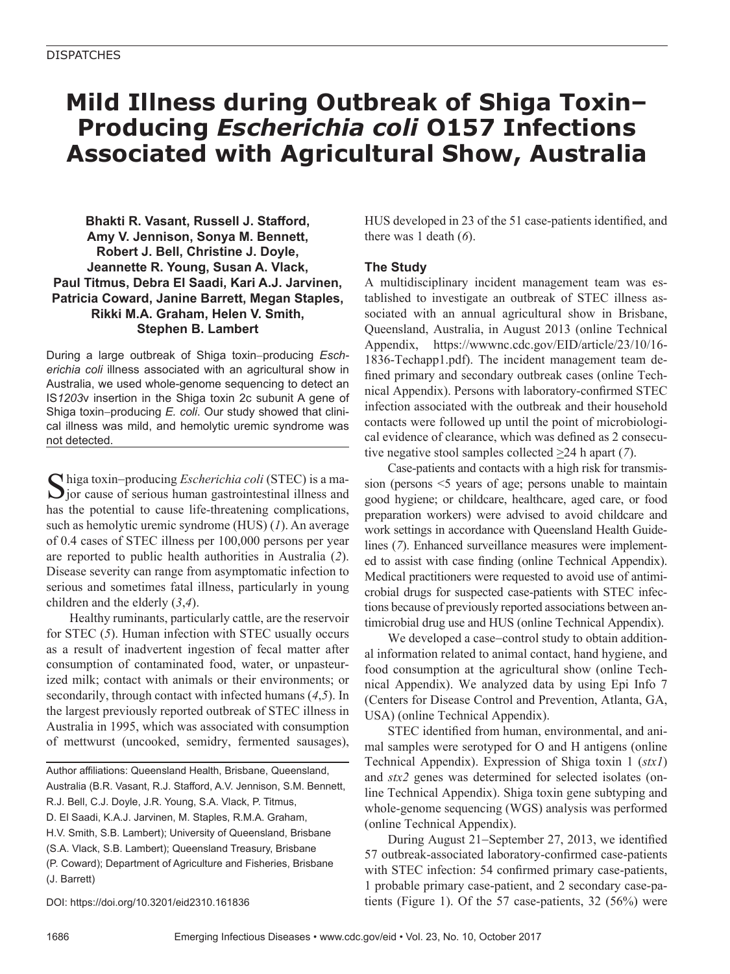## **Mild Illness during Outbreak of Shiga Toxin– Producing** *Escherichia coli* **O157 Infections Associated with Agricultural Show, Australia**

**Bhakti R. Vasant, Russell J. Stafford, Amy V. Jennison, Sonya M. Bennett, Robert J. Bell, Christine J. Doyle, Jeannette R. Young, Susan A. Vlack, Paul Titmus, Debra El Saadi, Kari A.J. Jarvinen, Patricia Coward, Janine Barrett, Megan Staples, Rikki M.A. Graham, Helen V. Smith, Stephen B. Lambert**

During a large outbreak of Shiga toxin−producing *Escherichia coli* illness associated with an agricultural show in Australia, we used whole-genome sequencing to detect an IS*1203*v insertion in the Shiga toxin 2c subunit A gene of Shiga toxin−producing *E. coli*. Our study showed that clinical illness was mild, and hemolytic uremic syndrome was not detected.

Shiga toxin−producing *Escherichia coli* (STEC) is a ma-jor cause of serious human gastrointestinal illness and has the potential to cause life-threatening complications, such as hemolytic uremic syndrome (HUS) (*1*). An average of 0.4 cases of STEC illness per 100,000 persons per year are reported to public health authorities in Australia (*2*). Disease severity can range from asymptomatic infection to serious and sometimes fatal illness, particularly in young children and the elderly (*3*,*4*).

Healthy ruminants, particularly cattle, are the reservoir for STEC (*5*). Human infection with STEC usually occurs as a result of inadvertent ingestion of fecal matter after consumption of contaminated food, water, or unpasteurized milk; contact with animals or their environments; or secondarily, through contact with infected humans (*4*,*5*). In the largest previously reported outbreak of STEC illness in Australia in 1995, which was associated with consumption of mettwurst (uncooked, semidry, fermented sausages),

Author affiliations: Queensland Health, Brisbane, Queensland, Australia (B.R. Vasant, R.J. Stafford, A.V. Jennison, S.M. Bennett, R.J. Bell, C.J. Doyle, J.R. Young, S.A. Vlack, P. Titmus, D. El Saadi, K.A.J. Jarvinen, M. Staples, R.M.A. Graham, H.V. Smith, S.B. Lambert); University of Queensland, Brisbane (S.A. Vlack, S.B. Lambert); Queensland Treasury, Brisbane (P. Coward); Department of Agriculture and Fisheries, Brisbane (J. Barrett)

DOI: https://doi.org/10.3201/eid2310.161836

HUS developed in 23 of the 51 case-patients identified, and there was 1 death (*6*).

## **The Study**

A multidisciplinary incident management team was established to investigate an outbreak of STEC illness associated with an annual agricultural show in Brisbane, Queensland, Australia, in August 2013 (online Technical Appendix, https://wwwnc.cdc.gov/EID/article/23/10/16- 1836-Techapp1.pdf). The incident management team defined primary and secondary outbreak cases (online Technical Appendix). Persons with laboratory-confirmed STEC infection associated with the outbreak and their household contacts were followed up until the point of microbiological evidence of clearance, which was defined as 2 consecutive negative stool samples collected >24 h apart (*7*).

Case-patients and contacts with a high risk for transmission (persons <5 years of age; persons unable to maintain good hygiene; or childcare, healthcare, aged care, or food preparation workers) were advised to avoid childcare and work settings in accordance with Queensland Health Guidelines (*7*). Enhanced surveillance measures were implemented to assist with case finding (online Technical Appendix). Medical practitioners were requested to avoid use of antimicrobial drugs for suspected case-patients with STEC infections because of previously reported associations between antimicrobial drug use and HUS (online Technical Appendix).

We developed a case−control study to obtain additional information related to animal contact, hand hygiene, and food consumption at the agricultural show (online Technical Appendix). We analyzed data by using Epi Info 7 (Centers for Disease Control and Prevention, Atlanta, GA, USA) (online Technical Appendix).

STEC identified from human, environmental, and animal samples were serotyped for O and H antigens (online Technical Appendix). Expression of Shiga toxin 1 (*stx1*) and *stx2* genes was determined for selected isolates (online Technical Appendix). Shiga toxin gene subtyping and whole-genome sequencing (WGS) analysis was performed (online Technical Appendix).

During August 21−September 27, 2013, we identified 57 outbreak-associated laboratory-confirmed case-patients with STEC infection: 54 confirmed primary case-patients, 1 probable primary case-patient, and 2 secondary case-patients (Figure 1). Of the 57 case-patients, 32 (56%) were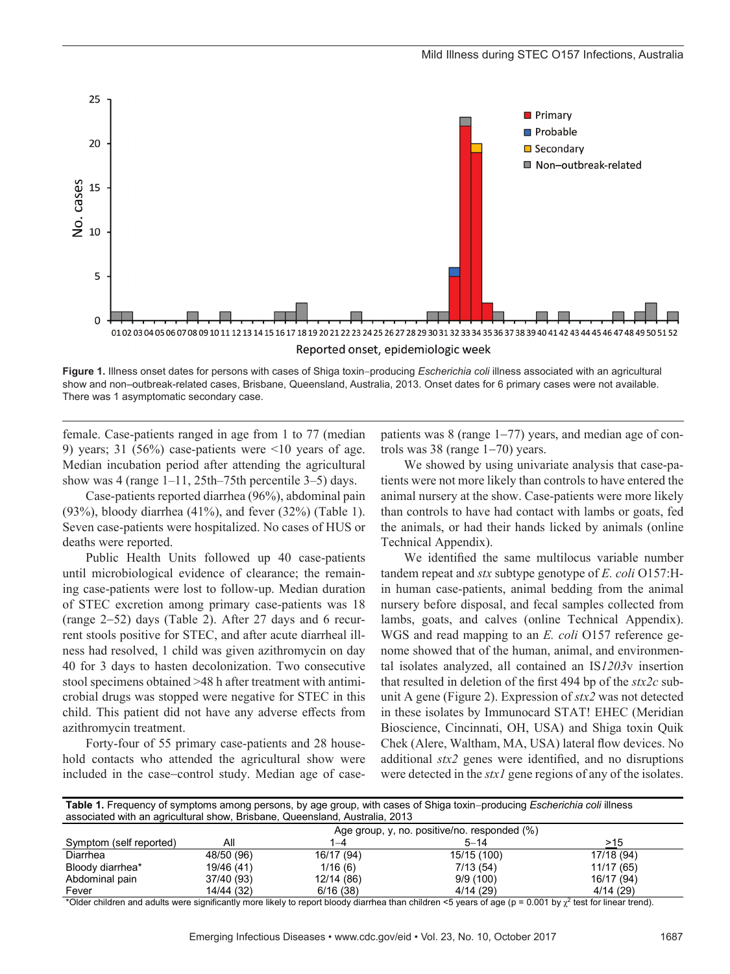

**Figure 1.** Illness onset dates for persons with cases of Shiga toxin−producing *Escherichia coli* illness associated with an agricultural show and non–outbreak-related cases, Brisbane, Queensland, Australia, 2013. Onset dates for 6 primary cases were not available. There was 1 asymptomatic secondary case.

female. Case-patients ranged in age from 1 to 77 (median 9) years; 31 (56%) case-patients were  $\leq 10$  years of age. Median incubation period after attending the agricultural show was 4 (range 1–11, 25th–75th percentile 3–5) days.

Case-patients reported diarrhea (96%), abdominal pain (93%), bloody diarrhea (41%), and fever (32%) (Table 1). Seven case-patients were hospitalized. No cases of HUS or deaths were reported.

Public Health Units followed up 40 case-patients until microbiological evidence of clearance; the remaining case-patients were lost to follow-up. Median duration of STEC excretion among primary case-patients was 18 (range 2−52) days (Table 2). After 27 days and 6 recurrent stools positive for STEC, and after acute diarrheal illness had resolved, 1 child was given azithromycin on day 40 for 3 days to hasten decolonization. Two consecutive stool specimens obtained >48 h after treatment with antimicrobial drugs was stopped were negative for STEC in this child. This patient did not have any adverse effects from azithromycin treatment.

Forty-four of 55 primary case-patients and 28 household contacts who attended the agricultural show were included in the case−control study. Median age of casepatients was 8 (range 1−77) years, and median age of controls was 38 (range 1−70) years.

We showed by using univariate analysis that case-patients were not more likely than controls to have entered the animal nursery at the show. Case-patients were more likely than controls to have had contact with lambs or goats, fed the animals, or had their hands licked by animals (online Technical Appendix).

We identified the same multilocus variable number tandem repeat and *stx* subtype genotype of *E. coli* O157:Hin human case-patients, animal bedding from the animal nursery before disposal, and fecal samples collected from lambs, goats, and calves (online Technical Appendix). WGS and read mapping to an *E. coli* O157 reference genome showed that of the human, animal, and environmental isolates analyzed, all contained an IS*1203*v insertion that resulted in deletion of the first 494 bp of the *stx2c* subunit A gene (Figure 2). Expression of *stx2* was not detected in these isolates by Immunocard STAT! EHEC (Meridian Bioscience, Cincinnati, OH, USA) and Shiga toxin Quik Chek (Alere, Waltham, MA, USA) lateral flow devices. No additional *stx2* genes were identified, and no disruptions were detected in the *stx1* gene regions of any of the isolates.

Table 1. Frequency of symptoms among persons, by age group, with cases of Shiga toxin-producing *Escherichia coli* illness associated with an agricultural show, Brisbane, Queensland, Australia, 2013

|                         | Age group, y, no. positive/no. responded (%) |            |             |            |  |  |
|-------------------------|----------------------------------------------|------------|-------------|------------|--|--|
| Symptom (self reported) | Αll                                          | 1–4        | $5 - 14$    | >15        |  |  |
| Diarrhea                | 48/50 (96)                                   | 16/17 (94) | 15/15 (100) | 17/18 (94) |  |  |
| Bloody diarrhea*        | 19/46 (41)                                   | 1/16(6)    | 7/13(54)    | 11/17 (65) |  |  |
| Abdominal pain          | 37/40 (93)                                   | 12/14 (86) | 9/9(100)    | 16/17 (94) |  |  |
| Fever                   | 14/44 (32)                                   | 6/16(38)   | 4/14(29)    | 4/14(29)   |  |  |

\*Older children and adults were significantly more likely to report bloody diarrhea than children <5 years of age (p = 0.001 by  $\chi^2$  test for linear trend).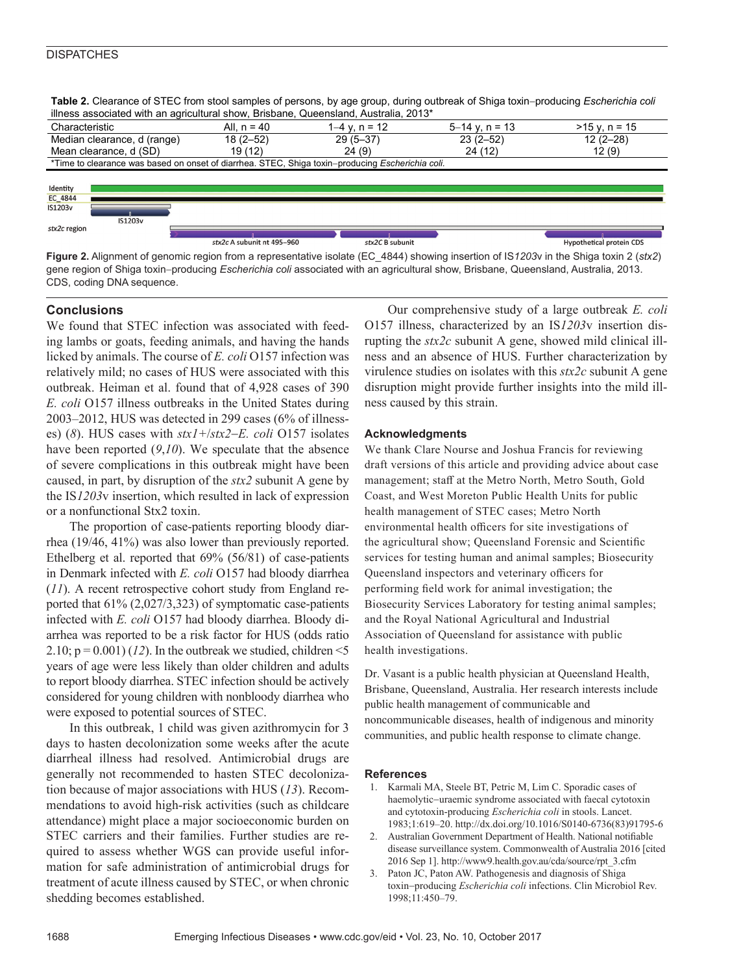## **DISPATCHES**

Table 2. Clearance of STEC from stool samples of persons, by age group, during outbreak of Shiga toxin-producing *Escherichia coli* illness associated with an agricultural show, Brisbane, Queensland, Australia, 2013\*

| milooo aoooonatoa mitri ah aghoaltarar ohom, Dhobaho, gaoonolaha, Aaotraha, Lo Io                       |               |               |                    |                 |  |  |  |  |
|---------------------------------------------------------------------------------------------------------|---------------|---------------|--------------------|-----------------|--|--|--|--|
| Characteristic                                                                                          | All. $n = 40$ | 1–4 v. n = 12 | $5 - 14$ y, n = 13 | $>15$ y, n = 15 |  |  |  |  |
| Median clearance, d (range)                                                                             | 18 (2–52)     | $29(5-37)$    | $23(2-52)$         | $12(2-28)$      |  |  |  |  |
| Mean clearance, d (SD)                                                                                  | 19 (12)       | 24(9)         | 24 (12)            | 12(9)           |  |  |  |  |
| *Time to clearance was based on onset of diarrhea. STEC, Shiga toxin–producing <i>Escherichia coli.</i> |               |               |                    |                 |  |  |  |  |
|                                                                                                         |               |               |                    |                 |  |  |  |  |
| Identity<br>$B = 10.11$                                                                                 |               |               |                    |                 |  |  |  |  |
|                                                                                                         |               |               |                    |                 |  |  |  |  |

IS1203v **IS1203** stx2c region stx2c A subunit nt 495-960  $style$  CH subunit **Hypothetical protein CDS** 

**Figure 2.** Alignment of genomic region from a representative isolate (EC\_4844) showing insertion of IS*1203*v in the Shiga toxin 2 (*stx2*) gene region of Shiga toxin−producing *Escherichia coli* associated with an agricultural show, Brisbane, Queensland, Australia, 2013. CDS, coding DNA sequence.

## **Conclusions**

We found that STEC infection was associated with feeding lambs or goats, feeding animals, and having the hands licked by animals. The course of *E. coli* O157 infection was relatively mild; no cases of HUS were associated with this outbreak. Heiman et al. found that of 4,928 cases of 390 *E. coli* O157 illness outbreaks in the United States during 2003–2012, HUS was detected in 299 cases (6% of illnesses) (*8*). HUS cases with *stx1+*/*stx2*−*E. coli* O157 isolates have been reported (*9*,*10*). We speculate that the absence of severe complications in this outbreak might have been caused, in part, by disruption of the *stx2* subunit A gene by the IS*1203*v insertion, which resulted in lack of expression or a nonfunctional Stx2 toxin.

The proportion of case-patients reporting bloody diarrhea (19/46, 41%) was also lower than previously reported. Ethelberg et al. reported that 69% (56/81) of case-patients in Denmark infected with *E. coli* O157 had bloody diarrhea (*11*). A recent retrospective cohort study from England reported that 61% (2,027/3,323) of symptomatic case-patients infected with *E. coli* O157 had bloody diarrhea. Bloody diarrhea was reported to be a risk factor for HUS (odds ratio 2.10;  $p = 0.001$  (12). In the outbreak we studied, children <5 years of age were less likely than older children and adults to report bloody diarrhea. STEC infection should be actively considered for young children with nonbloody diarrhea who were exposed to potential sources of STEC.

In this outbreak, 1 child was given azithromycin for 3 days to hasten decolonization some weeks after the acute diarrheal illness had resolved. Antimicrobial drugs are generally not recommended to hasten STEC decolonization because of major associations with HUS (*13*). Recommendations to avoid high-risk activities (such as childcare attendance) might place a major socioeconomic burden on STEC carriers and their families. Further studies are required to assess whether WGS can provide useful information for safe administration of antimicrobial drugs for treatment of acute illness caused by STEC, or when chronic shedding becomes established.

Our comprehensive study of a large outbreak *E. coli* O157 illness, characterized by an IS*1203*v insertion disrupting the *stx2c* subunit A gene, showed mild clinical illness and an absence of HUS. Further characterization by virulence studies on isolates with this *stx2c* subunit A gene disruption might provide further insights into the mild illness caused by this strain.

#### **Acknowledgments**

We thank Clare Nourse and Joshua Francis for reviewing draft versions of this article and providing advice about case management; staff at the Metro North, Metro South, Gold Coast, and West Moreton Public Health Units for public health management of STEC cases; Metro North environmental health officers for site investigations of the agricultural show; Queensland Forensic and Scientific services for testing human and animal samples; Biosecurity Queensland inspectors and veterinary officers for performing field work for animal investigation; the Biosecurity Services Laboratory for testing animal samples; and the Royal National Agricultural and Industrial Association of Queensland for assistance with public health investigations.

Dr. Vasant is a public health physician at Queensland Health, Brisbane, Queensland, Australia. Her research interests include public health management of communicable and noncommunicable diseases, health of indigenous and minority communities, and public health response to climate change.

#### **References**

- 1. Karmali MA, Steele BT, Petric M, Lim C. Sporadic cases of haemolytic−uraemic syndrome associated with faecal cytotoxin and cytotoxin-producing *Escherichia coli* in stools. Lancet. 1983;1:619–20. http://dx.doi.org/10.1016/S0140-6736(83)91795-6
- 2. Australian Government Department of Health. National notifiable disease surveillance system. Commonwealth of Australia 2016 [cited 2016 Sep 1]. http://www9.health.gov.au/cda/source/rpt\_3.cfm
- 3. Paton JC, Paton AW. Pathogenesis and diagnosis of Shiga toxin−producing *Escherichia coli* infections. Clin Microbiol Rev. 1998;11:450–79.